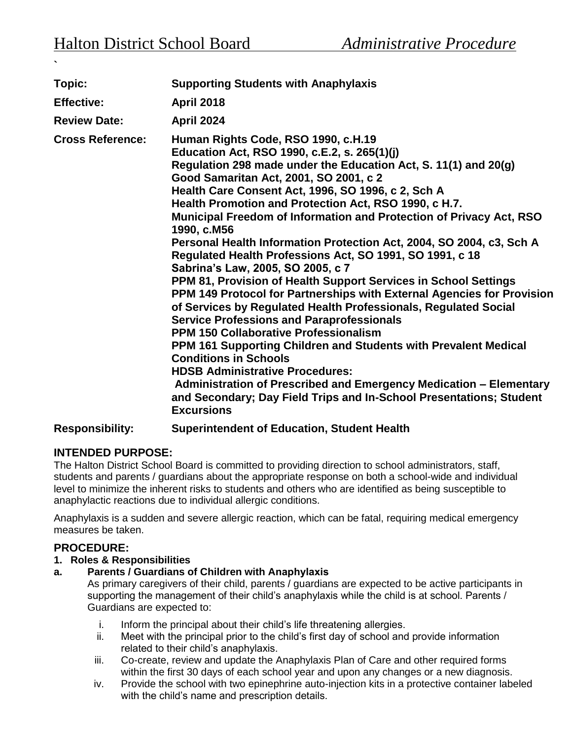**`** 

| Topic:                                                   | <b>Supporting Students with Anaphylaxis</b>                                                                                                                                                                                                                                                                                                                                                                                                                                                                                                                                                                                                                                                                                                                                                                                                                                                                                                                                                                                                                                                                                                                                                                       |
|----------------------------------------------------------|-------------------------------------------------------------------------------------------------------------------------------------------------------------------------------------------------------------------------------------------------------------------------------------------------------------------------------------------------------------------------------------------------------------------------------------------------------------------------------------------------------------------------------------------------------------------------------------------------------------------------------------------------------------------------------------------------------------------------------------------------------------------------------------------------------------------------------------------------------------------------------------------------------------------------------------------------------------------------------------------------------------------------------------------------------------------------------------------------------------------------------------------------------------------------------------------------------------------|
| <b>Effective:</b>                                        | <b>April 2018</b>                                                                                                                                                                                                                                                                                                                                                                                                                                                                                                                                                                                                                                                                                                                                                                                                                                                                                                                                                                                                                                                                                                                                                                                                 |
| <b>Review Date:</b>                                      | <b>April 2024</b>                                                                                                                                                                                                                                                                                                                                                                                                                                                                                                                                                                                                                                                                                                                                                                                                                                                                                                                                                                                                                                                                                                                                                                                                 |
| <b>Cross Reference:</b>                                  | Human Rights Code, RSO 1990, c.H.19<br>Education Act, RSO 1990, c.E.2, s. 265(1)(j)<br>Regulation 298 made under the Education Act, S. 11(1) and 20(g)<br>Good Samaritan Act, 2001, SO 2001, c 2<br>Health Care Consent Act, 1996, SO 1996, c 2, Sch A<br>Health Promotion and Protection Act, RSO 1990, c H.7.<br>Municipal Freedom of Information and Protection of Privacy Act, RSO<br>1990, c.M56<br>Personal Health Information Protection Act, 2004, SO 2004, c3, Sch A<br>Regulated Health Professions Act, SO 1991, SO 1991, c 18<br>Sabrina's Law, 2005, SO 2005, c 7<br>PPM 81, Provision of Health Support Services in School Settings<br>PPM 149 Protocol for Partnerships with External Agencies for Provision<br>of Services by Regulated Health Professionals, Regulated Social<br><b>Service Professions and Paraprofessionals</b><br><b>PPM 150 Collaborative Professionalism</b><br>PPM 161 Supporting Children and Students with Prevalent Medical<br><b>Conditions in Schools</b><br><b>HDSB Administrative Procedures:</b><br>Administration of Prescribed and Emergency Medication - Elementary<br>and Secondary; Day Field Trips and In-School Presentations; Student<br><b>Excursions</b> |
| $D_n \sim \sim \sim \sim \sim  \mathbf{L}  \mathbf{L}  $ | Curazintandant of Education Chudent Health                                                                                                                                                                                                                                                                                                                                                                                                                                                                                                                                                                                                                                                                                                                                                                                                                                                                                                                                                                                                                                                                                                                                                                        |

**Responsibility: Superintendent of Education, Student Health** 

# **INTENDED PURPOSE:**

The Halton District School Board is committed to providing direction to school administrators, staff, students and parents / guardians about the appropriate response on both a school-wide and individual level to minimize the inherent risks to students and others who are identified as being susceptible to anaphylactic reactions due to individual allergic conditions.

Anaphylaxis is a sudden and severe allergic reaction, which can be fatal, requiring medical emergency measures be taken.

# **PROCEDURE:**

## **1. Roles & Responsibilities**

**a. Parents / Guardians of Children with Anaphylaxis**

As primary caregivers of their child, parents / guardians are expected to be active participants in supporting the management of their child's anaphylaxis while the child is at school. Parents / Guardians are expected to:

- i. Inform the principal about their child's life threatening allergies.
- ii. Meet with the principal prior to the child's first day of school and provide information related to their child's anaphylaxis.
- iii. Co-create, review and update the Anaphylaxis Plan of Care and other required forms within the first 30 days of each school year and upon any changes or a new diagnosis.
- iv. Provide the school with two epinephrine auto-injection kits in a protective container labeled with the child's name and prescription details.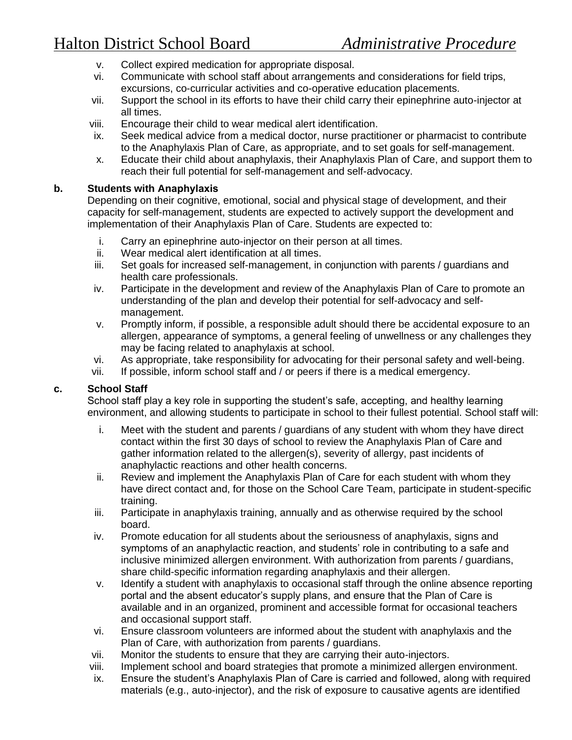- v. Collect expired medication for appropriate disposal.
- vi. Communicate with school staff about arrangements and considerations for field trips, excursions, co-curricular activities and co-operative education placements.
- vii. Support the school in its efforts to have their child carry their epinephrine auto-injector at all times.
- viii. Encourage their child to wear medical alert identification.
- ix. Seek medical advice from a medical doctor, nurse practitioner or pharmacist to contribute to the Anaphylaxis Plan of Care, as appropriate, and to set goals for self-management.
- x. Educate their child about anaphylaxis, their Anaphylaxis Plan of Care, and support them to reach their full potential for self-management and self-advocacy.

#### **b. Students with Anaphylaxis**

Depending on their cognitive, emotional, social and physical stage of development, and their capacity for self-management, students are expected to actively support the development and implementation of their Anaphylaxis Plan of Care. Students are expected to:

- i. Carry an epinephrine auto-injector on their person at all times.
- ii. Wear medical alert identification at all times.
- iii. Set goals for increased self-management, in conjunction with parents / guardians and health care professionals.
- iv. Participate in the development and review of the Anaphylaxis Plan of Care to promote an understanding of the plan and develop their potential for self-advocacy and selfmanagement.
- v. Promptly inform, if possible, a responsible adult should there be accidental exposure to an allergen, appearance of symptoms, a general feeling of unwellness or any challenges they may be facing related to anaphylaxis at school.
- vi. As appropriate, take responsibility for advocating for their personal safety and well-being.
- vii. If possible, inform school staff and / or peers if there is a medical emergency.

#### **c. School Staff**

School staff play a key role in supporting the student's safe, accepting, and healthy learning environment, and allowing students to participate in school to their fullest potential. School staff will:

- i. Meet with the student and parents / guardians of any student with whom they have direct contact within the first 30 days of school to review the Anaphylaxis Plan of Care and gather information related to the allergen(s), severity of allergy, past incidents of anaphylactic reactions and other health concerns.
- ii. Review and implement the Anaphylaxis Plan of Care for each student with whom they have direct contact and, for those on the School Care Team, participate in student-specific training.
- iii. Participate in anaphylaxis training, annually and as otherwise required by the school board.
- iv. Promote education for all students about the seriousness of anaphylaxis, signs and symptoms of an anaphylactic reaction, and students' role in contributing to a safe and inclusive minimized allergen environment. With authorization from parents / guardians, share child-specific information regarding anaphylaxis and their allergen.
- v. Identify a student with anaphylaxis to occasional staff through the online absence reporting portal and the absent educator's supply plans, and ensure that the Plan of Care is available and in an organized, prominent and accessible format for occasional teachers and occasional support staff.
- vi. Ensure classroom volunteers are informed about the student with anaphylaxis and the Plan of Care, with authorization from parents / guardians.
- vii. Monitor the students to ensure that they are carrying their auto-injectors.
- viii. Implement school and board strategies that promote a minimized allergen environment.
- ix. Ensure the student's Anaphylaxis Plan of Care is carried and followed, along with required materials (e.g., auto-injector), and the risk of exposure to causative agents are identified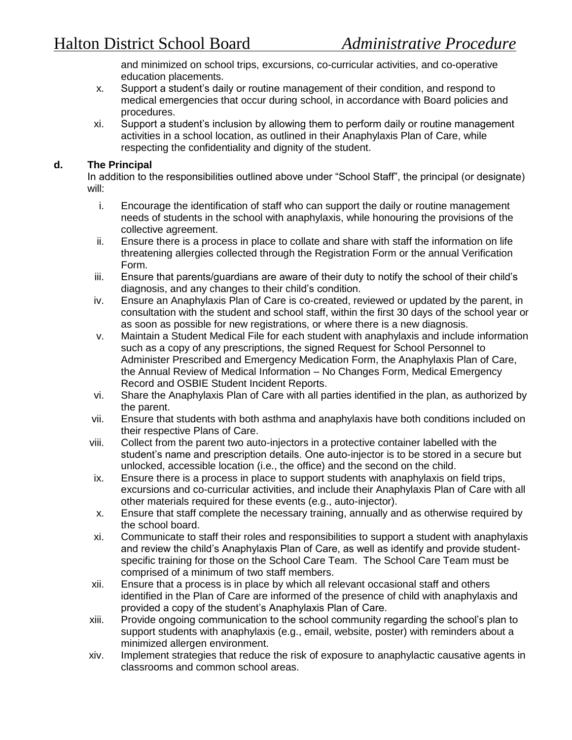and minimized on school trips, excursions, co-curricular activities, and co-operative education placements.

- x. Support a student's daily or routine management of their condition, and respond to medical emergencies that occur during school, in accordance with Board policies and procedures.
- xi. Support a student's inclusion by allowing them to perform daily or routine management activities in a school location, as outlined in their Anaphylaxis Plan of Care, while respecting the confidentiality and dignity of the student.

### **d. The Principal**

In addition to the responsibilities outlined above under "School Staff", the principal (or designate) will:

- i. Encourage the identification of staff who can support the daily or routine management needs of students in the school with anaphylaxis, while honouring the provisions of the collective agreement.
- ii. Ensure there is a process in place to collate and share with staff the information on life threatening allergies collected through the Registration Form or the annual Verification Form.
- iii. Ensure that parents/guardians are aware of their duty to notify the school of their child's diagnosis, and any changes to their child's condition.
- iv. Ensure an Anaphylaxis Plan of Care is co-created, reviewed or updated by the parent, in consultation with the student and school staff, within the first 30 days of the school year or as soon as possible for new registrations, or where there is a new diagnosis.
- v. Maintain a Student Medical File for each student with anaphylaxis and include information such as a copy of any prescriptions, the signed Request for School Personnel to Administer Prescribed and Emergency Medication Form, the Anaphylaxis Plan of Care, the Annual Review of Medical Information – No Changes Form, Medical Emergency Record and OSBIE Student Incident Reports.
- vi. Share the Anaphylaxis Plan of Care with all parties identified in the plan, as authorized by the parent.
- vii. Ensure that students with both asthma and anaphylaxis have both conditions included on their respective Plans of Care.
- viii. Collect from the parent two auto-injectors in a protective container labelled with the student's name and prescription details. One auto-injector is to be stored in a secure but unlocked, accessible location (i.e., the office) and the second on the child.
- ix. Ensure there is a process in place to support students with anaphylaxis on field trips, excursions and co-curricular activities, and include their Anaphylaxis Plan of Care with all other materials required for these events (e.g., auto-injector).
- x. Ensure that staff complete the necessary training, annually and as otherwise required by the school board.
- xi. Communicate to staff their roles and responsibilities to support a student with anaphylaxis and review the child's Anaphylaxis Plan of Care, as well as identify and provide studentspecific training for those on the School Care Team. The School Care Team must be comprised of a minimum of two staff members.
- xii. Ensure that a process is in place by which all relevant occasional staff and others identified in the Plan of Care are informed of the presence of child with anaphylaxis and provided a copy of the student's Anaphylaxis Plan of Care.
- xiii. Provide ongoing communication to the school community regarding the school's plan to support students with anaphylaxis (e.g., email, website, poster) with reminders about a minimized allergen environment.
- xiv. Implement strategies that reduce the risk of exposure to anaphylactic causative agents in classrooms and common school areas.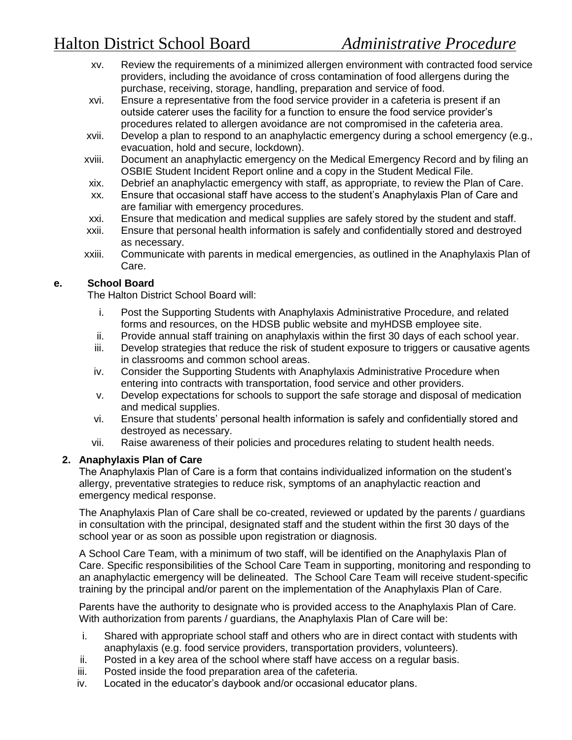# Halton District School Board *Administrative Procedure*

- xv. Review the requirements of a minimized allergen environment with contracted food service providers, including the avoidance of cross contamination of food allergens during the purchase, receiving, storage, handling, preparation and service of food.
- xvi. Ensure a representative from the food service provider in a cafeteria is present if an outside caterer uses the facility for a function to ensure the food service provider's procedures related to allergen avoidance are not compromised in the cafeteria area.
- xvii. Develop a plan to respond to an anaphylactic emergency during a school emergency (e.g., evacuation, hold and secure, lockdown).
- xviii. Document an anaphylactic emergency on the Medical Emergency Record and by filing an OSBIE Student Incident Report online and a copy in the Student Medical File.
- xix. Debrief an anaphylactic emergency with staff, as appropriate, to review the Plan of Care.
- xx. Ensure that occasional staff have access to the student's Anaphylaxis Plan of Care and are familiar with emergency procedures.
- xxi. Ensure that medication and medical supplies are safely stored by the student and staff.
- xxii. Ensure that personal health information is safely and confidentially stored and destroyed as necessary.
- xxiii. Communicate with parents in medical emergencies, as outlined in the Anaphylaxis Plan of Care.

## **e. School Board**

The Halton District School Board will:

- i. Post the Supporting Students with Anaphylaxis Administrative Procedure, and related forms and resources, on the HDSB public website and myHDSB employee site.
- ii. Provide annual staff training on anaphylaxis within the first 30 days of each school year.
- iii. Develop strategies that reduce the risk of student exposure to triggers or causative agents in classrooms and common school areas.
- iv. Consider the Supporting Students with Anaphylaxis Administrative Procedure when entering into contracts with transportation, food service and other providers.
- v. Develop expectations for schools to support the safe storage and disposal of medication and medical supplies.
- vi. Ensure that students' personal health information is safely and confidentially stored and destroyed as necessary.
- vii. Raise awareness of their policies and procedures relating to student health needs.

# **2. Anaphylaxis Plan of Care**

The Anaphylaxis Plan of Care is a form that contains individualized information on the student's allergy, preventative strategies to reduce risk, symptoms of an anaphylactic reaction and emergency medical response.

The Anaphylaxis Plan of Care shall be co-created, reviewed or updated by the parents / guardians in consultation with the principal, designated staff and the student within the first 30 days of the school year or as soon as possible upon registration or diagnosis.

A School Care Team, with a minimum of two staff, will be identified on the Anaphylaxis Plan of Care. Specific responsibilities of the School Care Team in supporting, monitoring and responding to an anaphylactic emergency will be delineated. The School Care Team will receive student-specific training by the principal and/or parent on the implementation of the Anaphylaxis Plan of Care.

Parents have the authority to designate who is provided access to the Anaphylaxis Plan of Care. With authorization from parents / guardians, the Anaphylaxis Plan of Care will be:

- i. Shared with appropriate school staff and others who are in direct contact with students with anaphylaxis (e.g. food service providers, transportation providers, volunteers).
- ii. Posted in a key area of the school where staff have access on a regular basis.
- iii. Posted inside the food preparation area of the cafeteria.
- iv. Located in the educator's daybook and/or occasional educator plans.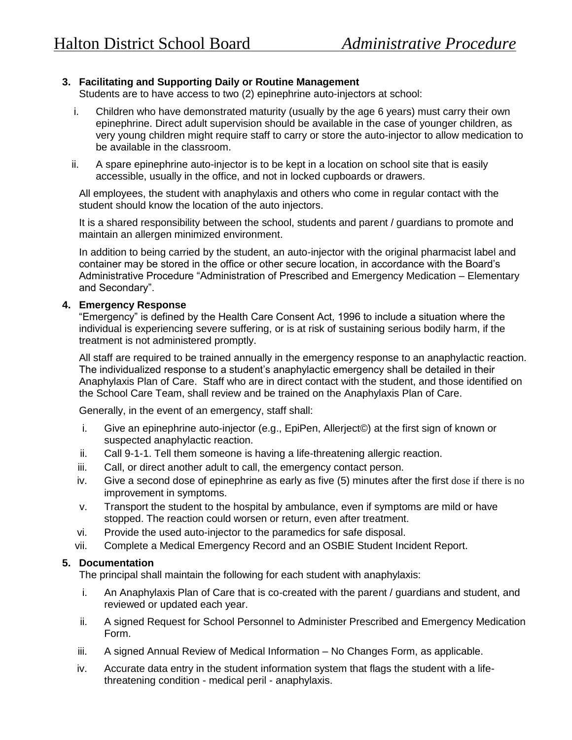## **3. Facilitating and Supporting Daily or Routine Management**

Students are to have access to two (2) epinephrine auto-injectors at school:

- i. Children who have demonstrated maturity (usually by the age 6 years) must carry their own epinephrine. Direct adult supervision should be available in the case of younger children, as very young children might require staff to carry or store the auto-injector to allow medication to be available in the classroom.
- ii. A spare epinephrine auto-injector is to be kept in a location on school site that is easily accessible, usually in the office, and not in locked cupboards or drawers.

All employees, the student with anaphylaxis and others who come in regular contact with the student should know the location of the auto injectors.

It is a shared responsibility between the school, students and parent / guardians to promote and maintain an allergen minimized environment.

In addition to being carried by the student, an auto-injector with the original pharmacist label and container may be stored in the office or other secure location, in accordance with the Board's Administrative Procedure "Administration of Prescribed and Emergency Medication – Elementary and Secondary".

### **4. Emergency Response**

"Emergency" is defined by the Health Care Consent Act, 1996 to include a situation where the individual is experiencing severe suffering, or is at risk of sustaining serious bodily harm, if the treatment is not administered promptly.

All staff are required to be trained annually in the emergency response to an anaphylactic reaction. The individualized response to a student's anaphylactic emergency shall be detailed in their Anaphylaxis Plan of Care. Staff who are in direct contact with the student, and those identified on the School Care Team, shall review and be trained on the Anaphylaxis Plan of Care.

Generally, in the event of an emergency, staff shall:

- i. Give an epinephrine auto-injector (e.g., EpiPen, Allerject©) at the first sign of known or suspected anaphylactic reaction.
- ii. Call 9-1-1. Tell them someone is having a life-threatening allergic reaction.
- iii. Call, or direct another adult to call, the emergency contact person.
- iv. Give a second dose of epinephrine as early as five (5) minutes after the first dose if there is no improvement in symptoms.
- v. Transport the student to the hospital by ambulance, even if symptoms are mild or have stopped. The reaction could worsen or return, even after treatment.
- vi. Provide the used auto-injector to the paramedics for safe disposal.
- vii. Complete a Medical Emergency Record and an OSBIE Student Incident Report.

## **5. Documentation**

The principal shall maintain the following for each student with anaphylaxis:

- i. An Anaphylaxis Plan of Care that is co-created with the parent / guardians and student, and reviewed or updated each year.
- ii. A signed Request for School Personnel to Administer Prescribed and Emergency Medication Form.
- iii. A signed Annual Review of Medical Information No Changes Form, as applicable.
- iv. Accurate data entry in the student information system that flags the student with a lifethreatening condition - medical peril - anaphylaxis.